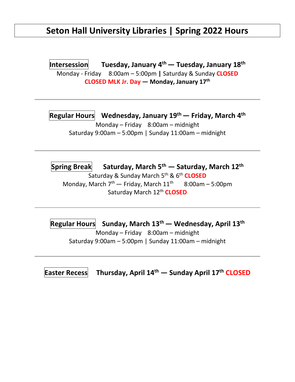## **Seton Hall University Libraries | Spring 2022 Hours**

**Intersession Tuesday, January 4 th— Tuesday, January 18th** Monday - Friday 8:00am – 5:00pm **|** Saturday & Sunday **CLOSED CLOSED MLK Jr. Day — Monday, January 17 th**

**Regular Hours Wednesday, January 19th— Friday, March 4 th** Monday – Friday 8:00am – midnight Saturday 9:00am – 5:00pm | Sunday 11:00am – midnight

**Spring Break Saturday, March 5th — Saturday, March 12th** Saturday & Sunday March 5th & 6th **CLOSED** Monday, March  $7<sup>th</sup>$  – Friday, March  $11<sup>th</sup>$  8:00am – 5:00pm Saturday March 12<sup>th</sup> CLOSED

**Regular Hours Sunday, March 13th — Wednesday, April 13th** Monday – Friday 8:00am – midnight Saturday 9:00am – 5:00pm | Sunday 11:00am – midnight

**Easter Recess Thursday, April 14th — Sunday April 17th CLOSED**